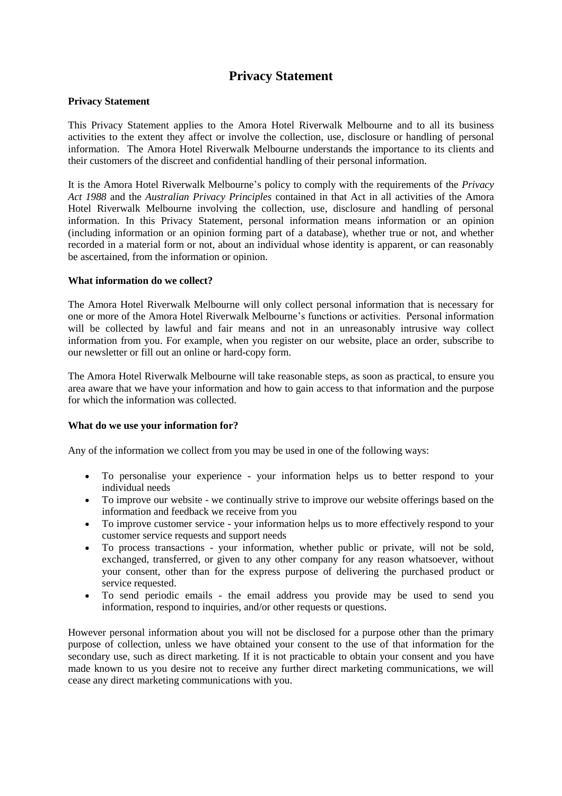# **Privacy Statement**

# **Privacy Statement**

This Privacy Statement applies to the Amora Hotel Riverwalk Melbourne and to all its business activities to the extent they affect or involve the collection, use, disclosure or handling of personal information. The Amora Hotel Riverwalk Melbourne understands the importance to its clients and their customers of the discreet and confidential handling of their personal information.

It is the Amora Hotel Riverwalk Melbourne's policy to comply with the requirements of the *Privacy Act 1988* and the *Australian Privacy Principles* contained in that Act in all activities of the Amora Hotel Riverwalk Melbourne involving the collection, use, disclosure and handling of personal information. In this Privacy Statement, personal information means information or an opinion (including information or an opinion forming part of a database), whether true or not, and whether recorded in a material form or not, about an individual whose identity is apparent, or can reasonably be ascertained, from the information or opinion.

# **What information do we collect?**

The Amora Hotel Riverwalk Melbourne will only collect personal information that is necessary for one or more of the Amora Hotel Riverwalk Melbourne's functions or activities. Personal information will be collected by lawful and fair means and not in an unreasonably intrusive way collect information from you. For example, when you register on our website, place an order, subscribe to our newsletter or fill out an online or hard-copy form.

The Amora Hotel Riverwalk Melbourne will take reasonable steps, as soon as practical, to ensure you area aware that we have your information and how to gain access to that information and the purpose for which the information was collected.

## **What do we use your information for?**

Any of the information we collect from you may be used in one of the following ways:

- To personalise your experience your information helps us to better respond to your individual needs
- To improve our website we continually strive to improve our website offerings based on the information and feedback we receive from you
- To improve customer service your information helps us to more effectively respond to your customer service requests and support needs
- To process transactions your information, whether public or private, will not be sold, exchanged, transferred, or given to any other company for any reason whatsoever, without your consent, other than for the express purpose of delivering the purchased product or service requested.
- To send periodic emails the email address you provide may be used to send you information, respond to inquiries, and/or other requests or questions.

However personal information about you will not be disclosed for a purpose other than the primary purpose of collection, unless we have obtained your consent to the use of that information for the secondary use, such as direct marketing. If it is not practicable to obtain your consent and you have made known to us you desire not to receive any further direct marketing communications, we will cease any direct marketing communications with you.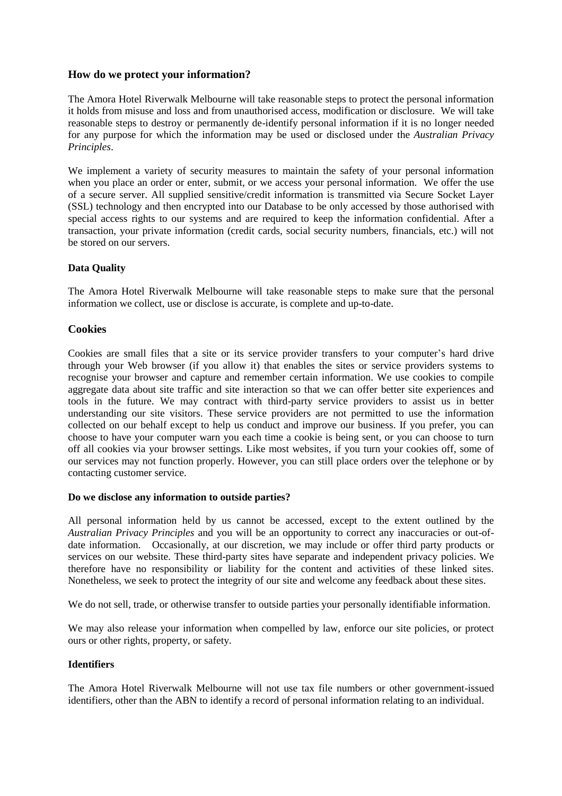# **How do we protect your information?**

The Amora Hotel Riverwalk Melbourne will take reasonable steps to protect the personal information it holds from misuse and loss and from unauthorised access, modification or disclosure. We will take reasonable steps to destroy or permanently de-identify personal information if it is no longer needed for any purpose for which the information may be used or disclosed under the *Australian Privacy Principles*.

We implement a variety of security measures to maintain the safety of your personal information when you place an order or enter, submit, or we access your personal information. We offer the use of a secure server. All supplied sensitive/credit information is transmitted via Secure Socket Layer (SSL) technology and then encrypted into our Database to be only accessed by those authorised with special access rights to our systems and are required to keep the information confidential. After a transaction, your private information (credit cards, social security numbers, financials, etc.) will not be stored on our servers.

# **Data Quality**

The Amora Hotel Riverwalk Melbourne will take reasonable steps to make sure that the personal information we collect, use or disclose is accurate, is complete and up-to-date.

# **Cookies**

Cookies are small files that a site or its service provider transfers to your computer's hard drive through your Web browser (if you allow it) that enables the sites or service providers systems to recognise your browser and capture and remember certain information. We use cookies to compile aggregate data about site traffic and site interaction so that we can offer better site experiences and tools in the future. We may contract with third-party service providers to assist us in better understanding our site visitors. These service providers are not permitted to use the information collected on our behalf except to help us conduct and improve our business. If you prefer, you can choose to have your computer warn you each time a cookie is being sent, or you can choose to turn off all cookies via your browser settings. Like most websites, if you turn your cookies off, some of our services may not function properly. However, you can still place orders over the telephone or by contacting customer service.

## **Do we disclose any information to outside parties?**

All personal information held by us cannot be accessed, except to the extent outlined by the *Australian Privacy Principles* and you will be an opportunity to correct any inaccuracies or out-ofdate information. Occasionally, at our discretion, we may include or offer third party products or services on our website. These third-party sites have separate and independent privacy policies. We therefore have no responsibility or liability for the content and activities of these linked sites. Nonetheless, we seek to protect the integrity of our site and welcome any feedback about these sites.

We do not sell, trade, or otherwise transfer to outside parties your personally identifiable information.

We may also release your information when compelled by law, enforce our site policies, or protect ours or other rights, property, or safety.

## **Identifiers**

The Amora Hotel Riverwalk Melbourne will not use tax file numbers or other government-issued identifiers, other than the ABN to identify a record of personal information relating to an individual.